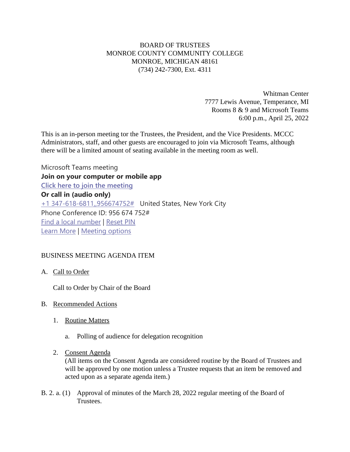# BOARD OF TRUSTEES MONROE COUNTY COMMUNITY COLLEGE MONROE, MICHIGAN 48161 (734) 242-7300, Ext. 4311

Whitman Center 7777 Lewis Avenue, Temperance, MI Rooms 8 & 9 and Microsoft Teams 6:00 p.m., April 25, 2022

This is an in-person meeting tor the Trustees, the President, and the Vice Presidents. MCCC Administrators, staff, and other guests are encouraged to join via Microsoft Teams, although there will be a limited amount of seating available in the meeting room as well.

Microsoft Teams meeting **Join on your computer or mobile app [Click here to join the meeting](https://teams.microsoft.com/l/meetup-join/19%3ameeting_ZWEwMDk4ZGItZWYyMi00NTAxLWIxYTEtZmVjODQwNDM4MmRk%40thread.v2/0?context=%7b%22Tid%22%3a%2276f58c37-4ccb-4953-8754-48d3ac2857e6%22%2c%22Oid%22%3a%22cfa62792-2f83-486c-8009-c76a92253031%22%7d) Or call in (audio only)** [+1 347-618-6811,,956674752#](tel:+13476186811,,956674752# ) United States, New York City Phone Conference ID: 956 674 752# [Find a local number](https://dialin.teams.microsoft.com/0a5b3283-82d4-44a2-a3da-3e0ac96718dd?id=956674752) | [Reset PIN](https://mysettings.lync.com/pstnconferencing) [Learn More](https://aka.ms/JoinTeamsMeeting) | [Meeting options](https://teams.microsoft.com/meetingOptions/?organizerId=cfa62792-2f83-486c-8009-c76a92253031&tenantId=76f58c37-4ccb-4953-8754-48d3ac2857e6&threadId=19_meeting_ZWEwMDk4ZGItZWYyMi00NTAxLWIxYTEtZmVjODQwNDM4MmRk@thread.v2&messageId=0&language=en-US)

## BUSINESS MEETING AGENDA ITEM

A. Call to Order

Call to Order by Chair of the Board

- B. Recommended Actions
	- 1. Routine Matters
		- a. Polling of audience for delegation recognition
	- 2. Consent Agenda

(All items on the Consent Agenda are considered routine by the Board of Trustees and will be approved by one motion unless a Trustee requests that an item be removed and acted upon as a separate agenda item.)

B. 2. a. (1) Approval of minutes of the March 28, 2022 regular meeting of the Board of Trustees.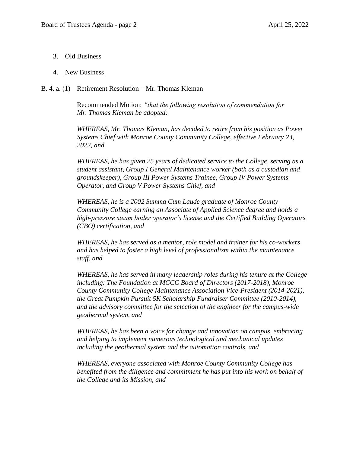3. Old Business

### 4. New Business

### B. 4. a. (1) Retirement Resolution – Mr. Thomas Kleman

Recommended Motion: *"that the following resolution of commendation for Mr. Thomas Kleman be adopted:*

*WHEREAS, Mr. Thomas Kleman, has decided to retire from his position as Power Systems Chief with Monroe County Community College, effective February 23, 2022, and*

*WHEREAS, he has given 25 years of dedicated service to the College, serving as a student assistant, Group I General Maintenance worker (both as a custodian and groundskeeper), Group III Power Systems Trainee, Group IV Power Systems Operator, and Group V Power Systems Chief, and*

*WHEREAS, he is a 2002 Summa Cum Laude graduate of Monroe County Community College earning an Associate of Applied Science degree and holds a high-pressure steam boiler operator's license and the Certified Building Operators (CBO) certification, and*

*WHEREAS, he has served as a mentor, role model and trainer for his co-workers and has helped to foster a high level of professionalism within the maintenance staff, and*

*WHEREAS, he has served in many leadership roles during his tenure at the College including: The Foundation at MCCC Board of Directors (2017-2018), Monroe County Community College Maintenance Association Vice-President (2014-2021), the Great Pumpkin Pursuit 5K Scholarship Fundraiser Committee (2010-2014), and the advisory committee for the selection of the engineer for the campus-wide geothermal system, and*

*WHEREAS, he has been a voice for change and innovation on campus, embracing and helping to implement numerous technological and mechanical updates including the geothermal system and the automation controls, and*

*WHEREAS, everyone associated with Monroe County Community College has benefited from the diligence and commitment he has put into his work on behalf of the College and its Mission, and*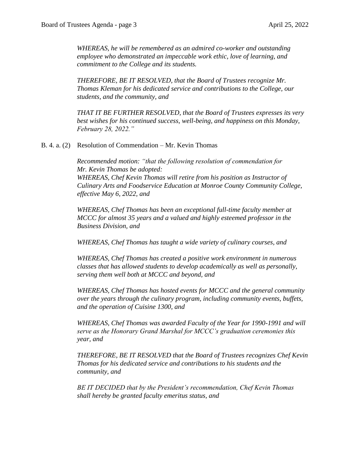*WHEREAS, he will be remembered as an admired co-worker and outstanding employee who demonstrated an impeccable work ethic, love of learning, and commitment to the College and its students.*

*THEREFORE, BE IT RESOLVED, that the Board of Trustees recognize Mr. Thomas Kleman for his dedicated service and contributions to the College, our students, and the community, and* 

*THAT IT BE FURTHER RESOLVED, that the Board of Trustees expresses its very best wishes for his continued success, well-being, and happiness on this Monday, February 28, 2022."*

B. 4. a. (2) Resolution of Commendation – Mr. Kevin Thomas

*Recommended motion: "that the following resolution of commendation for Mr. Kevin Thomas be adopted: WHEREAS, Chef Kevin Thomas will retire from his position as Instructor of Culinary Arts and Foodservice Education at Monroe County Community College, effective May 6, 2022, and*

*WHEREAS, Chef Thomas has been an exceptional full-time faculty member at MCCC for almost 35 years and a valued and highly esteemed professor in the Business Division, and*

*WHEREAS, Chef Thomas has taught a wide variety of culinary courses, and*

*WHEREAS, Chef Thomas has created a positive work environment in numerous classes that has allowed students to develop academically as well as personally, serving them well both at MCCC and beyond, and*

*WHEREAS, Chef Thomas has hosted events for MCCC and the general community over the years through the culinary program, including community events, buffets, and the operation of Cuisine 1300, and*

*WHEREAS, Chef Thomas was awarded Faculty of the Year for 1990-1991 and will serve as the Honorary Grand Marshal for MCCC's graduation ceremonies this year, and*

*THEREFORE, BE IT RESOLVED that the Board of Trustees recognizes Chef Kevin Thomas for his dedicated service and contributions to his students and the community, and*

*BE IT DECIDED that by the President's recommendation, Chef Kevin Thomas shall hereby be granted faculty emeritus status, and*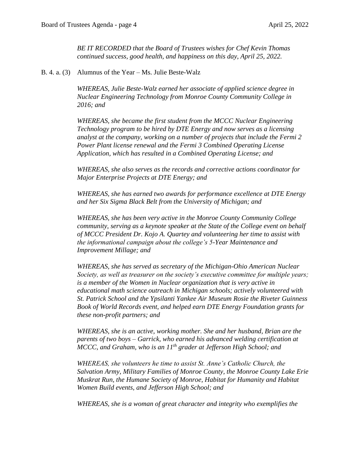*BE IT RECORDED that the Board of Trustees wishes for Chef Kevin Thomas continued success, good health, and happiness on this day, April 25, 2022.*

B. 4. a. (3) Alumnus of the Year – Ms. Julie Beste-Walz

*WHEREAS, Julie Beste-Walz earned her associate of applied science degree in Nuclear Engineering Technology from Monroe County Community College in 2016; and*

*WHEREAS, she became the first student from the MCCC Nuclear Engineering Technology program to be hired by DTE Energy and now serves as a licensing analyst at the company, working on a number of projects that include the Fermi 2 Power Plant license renewal and the Fermi 3 Combined Operating License Application, which has resulted in a Combined Operating License; and*

*WHEREAS, she also serves as the records and corrective actions coordinator for Major Enterprise Projects at DTE Energy; and* 

*WHEREAS, she has earned two awards for performance excellence at DTE Energy and her Six Sigma Black Belt from the University of Michigan; and*

*WHEREAS, she has been very active in the Monroe County Community College community, serving as a keynote speaker at the State of the College event on behalf of MCCC President Dr. Kojo A. Quartey and volunteering her time to assist with the informational campaign about the college's 5-Year Maintenance and Improvement Millage; and*

*WHEREAS, she has served as secretary of the Michigan-Ohio American Nuclear Society, as well as treasurer on the society's executive committee for multiple years; is a member of the Women in Nuclear organization that is very active in educational math science outreach in Michigan schools; actively volunteered with St. Patrick School and the Ypsilanti Yankee Air Museum Rosie the Riveter Guinness Book of World Records event, and helped earn DTE Energy Foundation grants for these non-profit partners; and*

*WHEREAS, she is an active, working mother. She and her husband, Brian are the parents of two boys – Garrick, who earned his advanced welding certification at MCCC, and Graham, who is an 11th grader at Jefferson High School; and* 

*WHEREAS, she volunteers he time to assist St. Anne's Catholic Church, the Salvation Army, Military Families of Monroe County, the Monroe County Lake Erie Muskrat Run, the Humane Society of Monroe, Habitat for Humanity and Habitat Women Build events, and Jefferson High School; and*

*WHEREAS, she is a woman of great character and integrity who exemplifies the*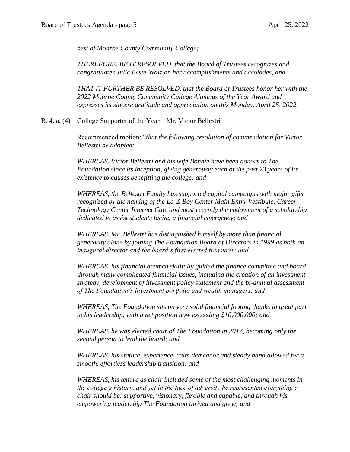*best of Monroe County Community College;*

*THEREFORE, BE IT RESOLVED, that the Board of Trustees recognizes and congratulates Julie Beste-Walz on her accomplishments and accolades, and*

*THAT IT FURTHER BE RESOLVED, that the Board of Trustees honor her with the 2022 Monroe County Community College Alumnus of the Year Award and expresses its sincere gratitude and appreciation on this Monday, April 25, 2022.*

B. 4. a. (4) College Supporter of the Year – Mr. Victor Bellestri

Recommended motion: "*that the following resolution of commendation for Victor Bellestri be adopted:*

*WHEREAS, Victor Bellestri and his wife Bonnie have been donors to The Foundation since its inception, giving generously each of the past 23 years of its existence to causes benefitting the college; and*

*WHEREAS, the Bellestri Family has supported capital campaigns with major gifts recognized by the naming of the La-Z-Boy Center Main Entry Vestibule, Career Technology Center Internet Café and most recently the endowment of a scholarship dedicated to assist students facing a financial emergency; and*

*WHEREAS, Mr. Bellestri has distinguished himself by more than financial generosity alone by joining The Foundation Board of Directors in 1999 as both an inaugural director and the board's first elected treasurer; and*

*WHEREAS, his financial acumen skillfully guided the finance committee and board through many complicated financial issues, including the creation of an investment strategy, development of investment policy statement and the bi-annual assessment of The Foundation's investment portfolio and wealth managers; and*

*WHEREAS, The Foundation sits on very solid financial footing thanks in great part to his leadership, with a net position now exceeding \$10,000,000; and*

*WHEREAS, he was elected chair of The Foundation in 2017, becoming only the second person to lead the board; and*

*WHEREAS, his stature, experience, calm demeanor and steady hand allowed for a smooth, effortless leadership transition; and* 

*WHEREAS, his tenure as chair included some of the most challenging moments in the college's history, and yet in the face of adversity he represented everything a chair should be: supportive, visionary, flexible and capable, and through his empowering leadership The Foundation thrived and grew; and*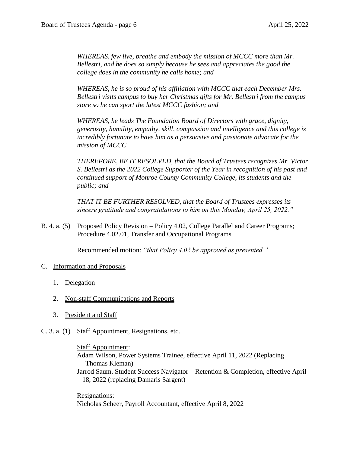*WHEREAS, few live, breathe and embody the mission of MCCC more than Mr. Bellestri, and he does so simply because he sees and appreciates the good the college does in the community he calls home; and*

*WHEREAS, he is so proud of his affiliation with MCCC that each December Mrs. Bellestri visits campus to buy her Christmas gifts for Mr. Bellestri from the campus store so he can sport the latest MCCC fashion; and*

*WHEREAS, he leads The Foundation Board of Directors with grace, dignity, generosity, humility, empathy, skill, compassion and intelligence and this college is incredibly fortunate to have him as a persuasive and passionate advocate for the mission of MCCC.*

*THEREFORE, BE IT RESOLVED, that the Board of Trustees recognizes Mr. Victor S. Bellestri as the 2022 College Supporter of the Year in recognition of his past and continued support of Monroe County Community College, its students and the public; and*

*THAT IT BE FURTHER RESOLVED, that the Board of Trustees expresses its sincere gratitude and congratulations to him on this Monday, April 25, 2022."*

B. 4. a. (5) Proposed Policy Revision – Policy 4.02, College Parallel and Career Programs; Procedure 4.02.01, Transfer and Occupational Programs

Recommended motion: *"that Policy 4.02 be approved as presented."*

## C. Information and Proposals

- 1. Delegation
- 2. Non-staff Communications and Reports
- 3. President and Staff
- C. 3. a. (1) Staff Appointment, Resignations, etc.

Staff Appointment: Adam Wilson, Power Systems Trainee, effective April 11, 2022 (Replacing Thomas Kleman) Jarrod Saum, Student Success Navigator—Retention & Completion, effective April 18, 2022 (replacing Damaris Sargent)

Resignations: Nicholas Scheer, Payroll Accountant, effective April 8, 2022